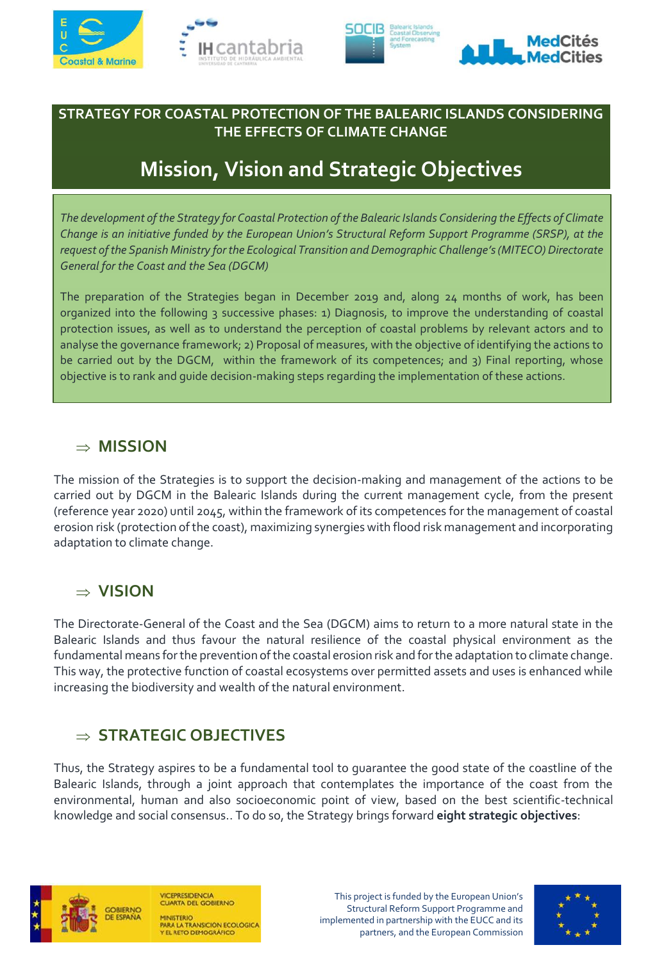





#### **STRATEGY FOR COASTAL PROTECTION OF THE BALEARIC ISLANDS CONSIDERING THE EFFECTS OF CLIMATE CHANGE**

# **Mission, Vision and Strategic Objectives**

*The development of the Strategy for Coastal Protection of the Balearic Islands Considering the Effects of Climate Change is an initiative funded by the European Union's Structural Reform Support Programme (SRSP), at the request of the Spanish Ministry for the Ecological Transition and Demographic Challenge's (MITECO) Directorate General for the Coast and the Sea (DGCM)*

The preparation of the Strategies began in December 2019 and, along 24 months of work, has been organized into the following 3 successive phases: 1) Diagnosis, to improve the understanding of coastal protection issues, as well as to understand the perception of coastal problems by relevant actors and to analyse the governance framework; 2) Proposal of measures, with the objective of identifying the actions to be carried out by the DGCM, within the framework of its competences; and 3) Final reporting, whose objective is to rank and guide decision-making steps regarding the implementation of these actions.

### **MISSION**

The mission of the Strategies is to support the decision-making and management of the actions to be carried out by DGCM in the Balearic Islands during the current management cycle, from the present (reference year 2020) until 2045, within the framework of its competences for the management of coastal erosion risk (protection of the coast), maximizing synergies with flood risk management and incorporating adaptation to climate change.

### **VISION**

The Directorate-General of the Coast and the Sea (DGCM) aims to return to a more natural state in the Balearic Islands and thus favour the natural resilience of the coastal physical environment as the fundamental means for the prevention of the coastal erosion risk and for the adaptation to climate change. This way, the protective function of coastal ecosystems over permitted assets and uses is enhanced while increasing the biodiversity and wealth of the natural environment.

## **STRATEGIC OBJECTIVES**

Thus, the Strategy aspires to be a fundamental tool to guarantee the good state of the coastline of the Balearic Islands, through a joint approach that contemplates the importance of the coast from the environmental, human and also socioeconomic point of view, based on the best scientific-technical knowledge and social consensus.. To do so, the Strategy brings forward **eight strategic objectives**:



**CEPRESIDENCIA CUARTA DEL GOBIERNO ARA LA TRANSICIÓN ECOLÓGICA**<br>EL RETO DEMOGRÁFICO

This project is funded by the European Union's Structural Reform Support Programme and implemented in partnership with the EUCC and its partners, and the European Commission